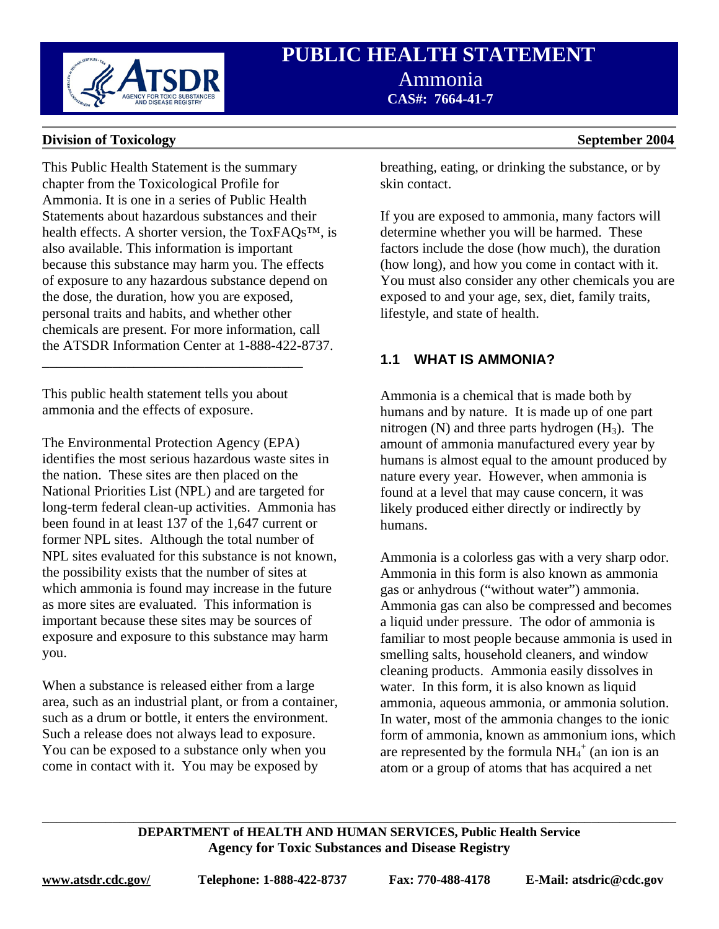

This Public Health Statement is the summary chapter from the Toxicological Profile for Ammonia. It is one in a series of Public Health Statements about hazardous substances and their health effects. A shorter version, the ToxFAQs™, is also available. This information is important because this substance may harm you. The effects of exposure to any hazardous substance depend on the dose, the duration, how you are exposed, personal traits and habits, and whether other chemicals are present. For more information, call the ATSDR Information Center at 1-888-422-8737.

This public health statement tells you about ammonia and the effects of exposure.

\_\_\_\_\_\_\_\_\_\_\_\_\_\_\_\_\_\_\_\_\_\_\_\_\_\_\_\_\_\_\_\_\_\_\_\_\_

The Environmental Protection Agency (EPA) identifies the most serious hazardous waste sites in the nation. These sites are then placed on the National Priorities List (NPL) and are targeted for long-term federal clean-up activities. Ammonia has been found in at least 137 of the 1,647 current or former NPL sites. Although the total number of NPL sites evaluated for this substance is not known, the possibility exists that the number of sites at which ammonia is found may increase in the future as more sites are evaluated. This information is important because these sites may be sources of exposure and exposure to this substance may harm you.

When a substance is released either from a large area, such as an industrial plant, or from a container, such as a drum or bottle, it enters the environment. Such a release does not always lead to exposure. You can be exposed to a substance only when you come in contact with it. You may be exposed by

breathing, eating, or drinking the substance, or by skin contact.

If you are exposed to ammonia, many factors will determine whether you will be harmed. These factors include the dose (how much), the duration (how long), and how you come in contact with it. You must also consider any other chemicals you are exposed to and your age, sex, diet, family traits, lifestyle, and state of health.

# **1.1 WHAT IS AMMONIA?**

Ammonia is a chemical that is made both by humans and by nature. It is made up of one part nitrogen  $(N)$  and three parts hydrogen  $(H_3)$ . The amount of ammonia manufactured every year by humans is almost equal to the amount produced by nature every year. However, when ammonia is found at a level that may cause concern, it was likely produced either directly or indirectly by humans.

Ammonia is a colorless gas with a very sharp odor. Ammonia in this form is also known as ammonia gas or anhydrous ("without water") ammonia. Ammonia gas can also be compressed and becomes a liquid under pressure. The odor of ammonia is familiar to most people because ammonia is used in smelling salts, household cleaners, and window cleaning products. Ammonia easily dissolves in water. In this form, it is also known as liquid ammonia, aqueous ammonia, or ammonia solution. In water, most of the ammonia changes to the ionic form of ammonia, known as ammonium ions, which are represented by the formula  $NH_4^+$  (an ion is an atom or a group of atoms that has acquired a net

**DEPARTMENT of HEALTH AND HUMAN SERVICES, Public Health Service Agency for Toxic Substances and Disease Registry**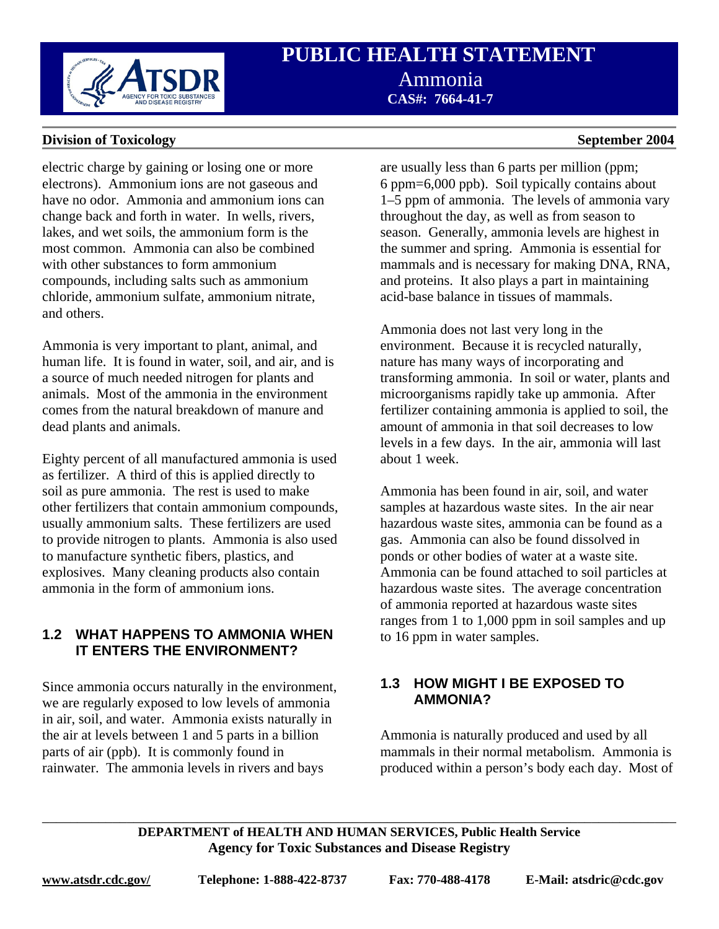

electric charge by gaining or losing one or more electrons). Ammonium ions are not gaseous and have no odor. Ammonia and ammonium ions can change back and forth in water. In wells, rivers, lakes, and wet soils, the ammonium form is the most common. Ammonia can also be combined with other substances to form ammonium compounds, including salts such as ammonium chloride, ammonium sulfate, ammonium nitrate, and others.

Ammonia is very important to plant, animal, and human life. It is found in water, soil, and air, and is a source of much needed nitrogen for plants and animals. Most of the ammonia in the environment comes from the natural breakdown of manure and dead plants and animals.

Eighty percent of all manufactured ammonia is used as fertilizer. A third of this is applied directly to soil as pure ammonia. The rest is used to make other fertilizers that contain ammonium compounds, usually ammonium salts. These fertilizers are used to provide nitrogen to plants. Ammonia is also used to manufacture synthetic fibers, plastics, and explosives. Many cleaning products also contain ammonia in the form of ammonium ions.

# **1.2 WHAT HAPPENS TO AMMONIA WHEN IT ENTERS THE ENVIRONMENT?**

Since ammonia occurs naturally in the environment, we are regularly exposed to low levels of ammonia in air, soil, and water. Ammonia exists naturally in the air at levels between 1 and 5 parts in a billion parts of air (ppb). It is commonly found in rainwater. The ammonia levels in rivers and bays

are usually less than 6 parts per million (ppm; 6 ppm=6,000 ppb). Soil typically contains about 1–5 ppm of ammonia. The levels of ammonia vary throughout the day, as well as from season to season. Generally, ammonia levels are highest in the summer and spring. Ammonia is essential for mammals and is necessary for making DNA, RNA, and proteins. It also plays a part in maintaining acid-base balance in tissues of mammals.

Ammonia does not last very long in the environment. Because it is recycled naturally, nature has many ways of incorporating and transforming ammonia. In soil or water, plants and microorganisms rapidly take up ammonia. After fertilizer containing ammonia is applied to soil, the amount of ammonia in that soil decreases to low levels in a few days. In the air, ammonia will last about 1 week.

Ammonia has been found in air, soil, and water samples at hazardous waste sites. In the air near hazardous waste sites, ammonia can be found as a gas. Ammonia can also be found dissolved in ponds or other bodies of water at a waste site. Ammonia can be found attached to soil particles at hazardous waste sites. The average concentration of ammonia reported at hazardous waste sites ranges from 1 to 1,000 ppm in soil samples and up to 16 ppm in water samples.

# **1.3 HOW MIGHT I BE EXPOSED TO AMMONIA?**

Ammonia is naturally produced and used by all mammals in their normal metabolism. Ammonia is produced within a person's body each day. Most of

**DEPARTMENT of HEALTH AND HUMAN SERVICES, Public Health Service Agency for Toxic Substances and Disease Registry** 

\_\_\_\_\_\_\_\_\_\_\_\_\_\_\_\_\_\_\_\_\_\_\_\_\_\_\_\_\_\_\_\_\_\_\_\_\_\_\_\_\_\_\_\_\_\_\_\_\_\_\_\_\_\_\_\_\_\_\_\_\_\_\_\_\_\_\_\_\_\_\_\_\_\_\_\_\_\_\_\_\_\_\_\_\_\_\_\_\_\_

**www.atsdr.cdc.gov/ Telephone: 1-888-422-8737 Fax: 770-488-4178 E-Mail: atsdric@cdc.gov**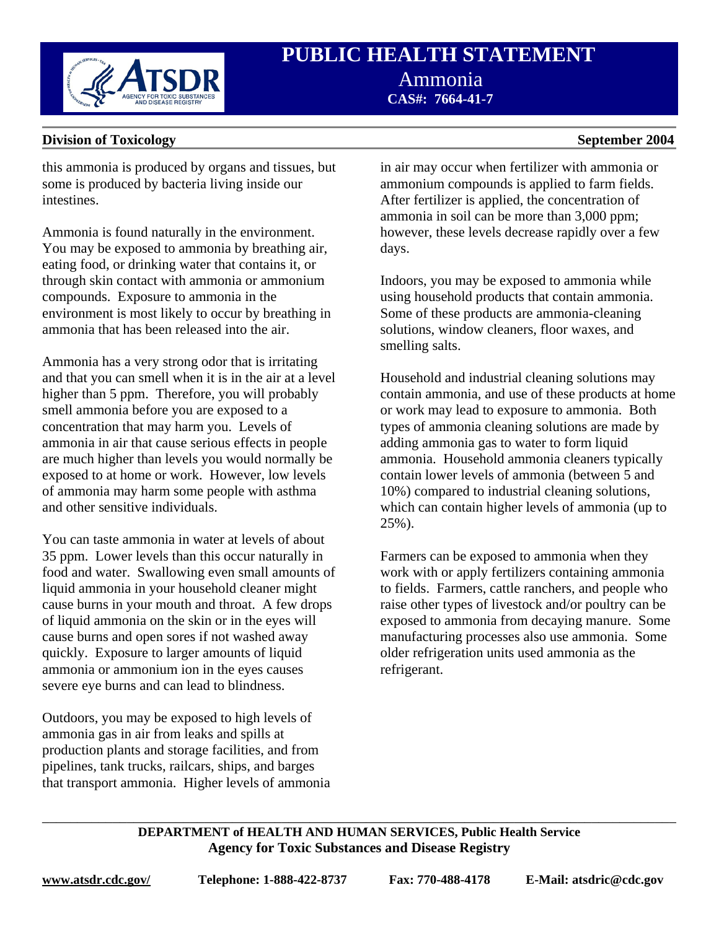

this ammonia is produced by organs and tissues, but some is produced by bacteria living inside our intestines.

Ammonia is found naturally in the environment. You may be exposed to ammonia by breathing air, eating food, or drinking water that contains it, or through skin contact with ammonia or ammonium compounds. Exposure to ammonia in the environment is most likely to occur by breathing in ammonia that has been released into the air.

Ammonia has a very strong odor that is irritating and that you can smell when it is in the air at a level higher than 5 ppm. Therefore, you will probably smell ammonia before you are exposed to a concentration that may harm you. Levels of ammonia in air that cause serious effects in people are much higher than levels you would normally be exposed to at home or work. However, low levels of ammonia may harm some people with asthma and other sensitive individuals.

You can taste ammonia in water at levels of about 35 ppm. Lower levels than this occur naturally in food and water. Swallowing even small amounts of liquid ammonia in your household cleaner might cause burns in your mouth and throat. A few drops of liquid ammonia on the skin or in the eyes will cause burns and open sores if not washed away quickly. Exposure to larger amounts of liquid ammonia or ammonium ion in the eyes causes severe eye burns and can lead to blindness.

Outdoors, you may be exposed to high levels of ammonia gas in air from leaks and spills at production plants and storage facilities, and from pipelines, tank trucks, railcars, ships, and barges that transport ammonia. Higher levels of ammonia in air may occur when fertilizer with ammonia or ammonium compounds is applied to farm fields. After fertilizer is applied, the concentration of ammonia in soil can be more than 3,000 ppm; however, these levels decrease rapidly over a few days.

Indoors, you may be exposed to ammonia while using household products that contain ammonia. Some of these products are ammonia-cleaning solutions, window cleaners, floor waxes, and smelling salts.

Household and industrial cleaning solutions may contain ammonia, and use of these products at home or work may lead to exposure to ammonia. Both types of ammonia cleaning solutions are made by adding ammonia gas to water to form liquid ammonia. Household ammonia cleaners typically contain lower levels of ammonia (between 5 and 10%) compared to industrial cleaning solutions, which can contain higher levels of ammonia (up to 25%).

Farmers can be exposed to ammonia when they work with or apply fertilizers containing ammonia to fields. Farmers, cattle ranchers, and people who raise other types of livestock and/or poultry can be exposed to ammonia from decaying manure. Some manufacturing processes also use ammonia. Some older refrigeration units used ammonia as the refrigerant.

\_\_\_\_\_\_\_\_\_\_\_\_\_\_\_\_\_\_\_\_\_\_\_\_\_\_\_\_\_\_\_\_\_\_\_\_\_\_\_\_\_\_\_\_\_\_\_\_\_\_\_\_\_\_\_\_\_\_\_\_\_\_\_\_\_\_\_\_\_\_\_\_\_\_\_\_\_\_\_\_\_\_\_\_\_\_\_\_\_\_

**www.atsdr.cdc.gov/ Telephone: 1-888-422-8737 Fax: 770-488-4178 E-Mail: atsdric@cdc.gov**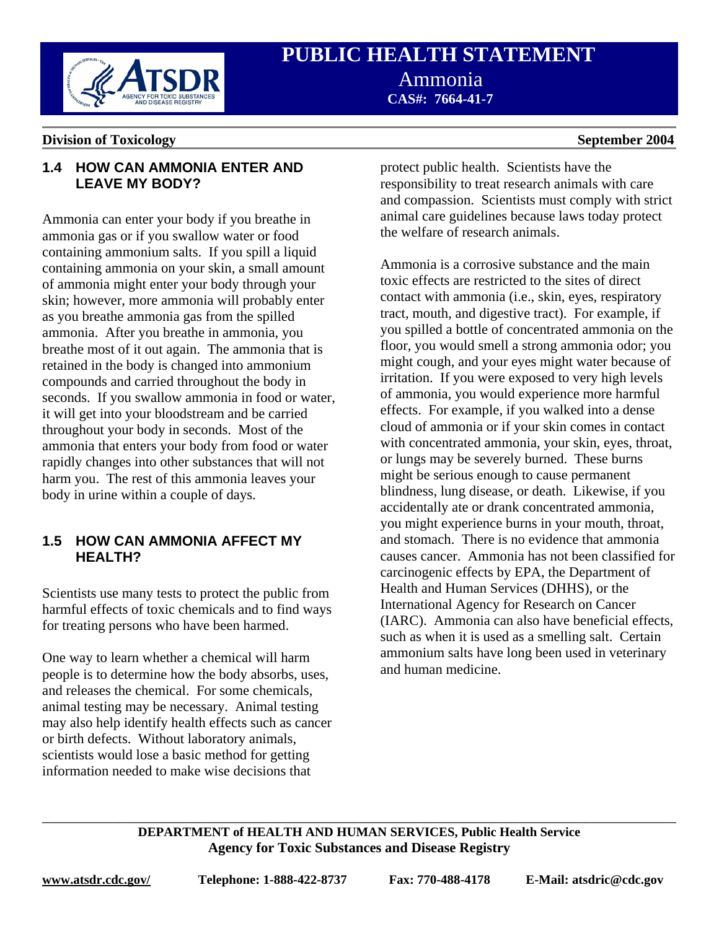

### **1.4 HOW CAN AMMONIA ENTER AND LEAVE MY BODY?**

Ammonia can enter your body if you breathe in ammonia gas or if you swallow water or food containing ammonium salts. If you spill a liquid containing ammonia on your skin, a small amount of ammonia might enter your body through your skin; however, more ammonia will probably enter as you breathe ammonia gas from the spilled ammonia. After you breathe in ammonia, you breathe most of it out again. The ammonia that is retained in the body is changed into ammonium compounds and carried throughout the body in seconds. If you swallow ammonia in food or water, it will get into your bloodstream and be carried throughout your body in seconds. Most of the ammonia that enters your body from food or water rapidly changes into other substances that will not harm you. The rest of this ammonia leaves your body in urine within a couple of days.

## **1.5 HOW CAN AMMONIA AFFECT MY HEALTH?**

Scientists use many tests to protect the public from harmful effects of toxic chemicals and to find ways for treating persons who have been harmed.

One way to learn whether a chemical will harm people is to determine how the body absorbs, uses, and releases the chemical. For some chemicals, animal testing may be necessary. Animal testing may also help identify health effects such as cancer or birth defects. Without laboratory animals, scientists would lose a basic method for getting information needed to make wise decisions that

protect public health. Scientists have the responsibility to treat research animals with care and compassion. Scientists must comply with strict animal care guidelines because laws today protect the welfare of research animals.

Ammonia is a corrosive substance and the main toxic effects are restricted to the sites of direct contact with ammonia (i.e., skin, eyes, respiratory tract, mouth, and digestive tract). For example, if you spilled a bottle of concentrated ammonia on the floor, you would smell a strong ammonia odor; you might cough, and your eyes might water because of irritation. If you were exposed to very high levels of ammonia, you would experience more harmful effects. For example, if you walked into a dense cloud of ammonia or if your skin comes in contact with concentrated ammonia, your skin, eyes, throat, or lungs may be severely burned. These burns might be serious enough to cause permanent blindness, lung disease, or death. Likewise, if you accidentally ate or drank concentrated ammonia, you might experience burns in your mouth, throat, and stomach. There is no evidence that ammonia causes cancer. Ammonia has not been classified for carcinogenic effects by EPA, the Department of Health and Human Services (DHHS), or the International Agency for Research on Cancer (IARC). Ammonia can also have beneficial effects, such as when it is used as a smelling salt. Certain ammonium salts have long been used in veterinary and human medicine.

**DEPARTMENT of HEALTH AND HUMAN SERVICES, Public Health Service Agency for Toxic Substances and Disease Registry**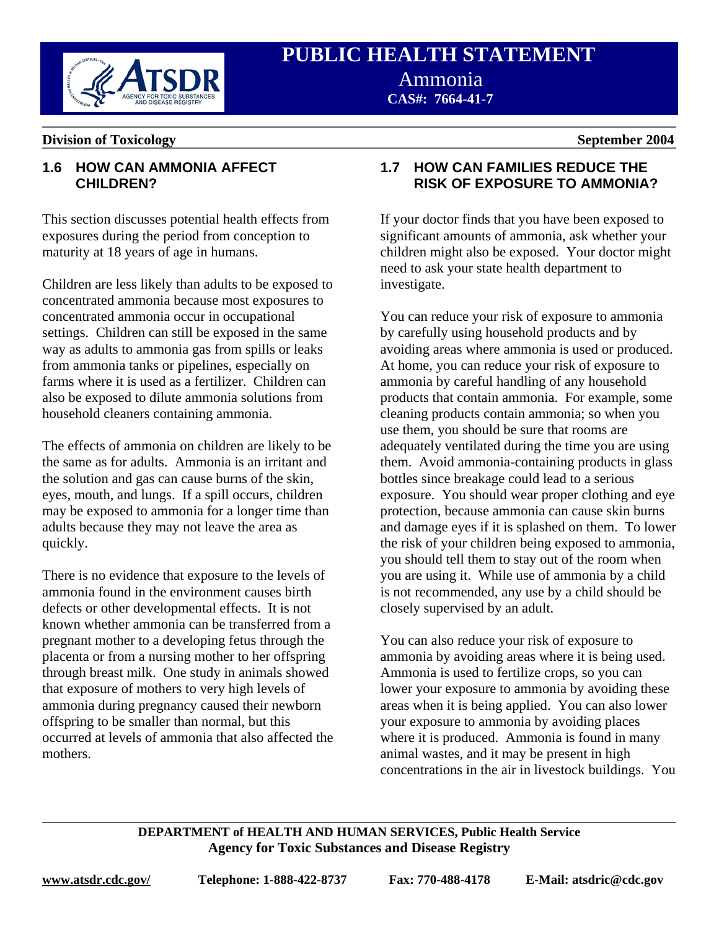

### **1.6 HOW CAN AMMONIA AFFECT CHILDREN?**

This section discusses potential health effects from exposures during the period from conception to maturity at 18 years of age in humans.

Children are less likely than adults to be exposed to concentrated ammonia because most exposures to concentrated ammonia occur in occupational settings. Children can still be exposed in the same way as adults to ammonia gas from spills or leaks from ammonia tanks or pipelines, especially on farms where it is used as a fertilizer. Children can also be exposed to dilute ammonia solutions from household cleaners containing ammonia.

The effects of ammonia on children are likely to be the same as for adults. Ammonia is an irritant and the solution and gas can cause burns of the skin, eyes, mouth, and lungs. If a spill occurs, children may be exposed to ammonia for a longer time than adults because they may not leave the area as quickly.

There is no evidence that exposure to the levels of ammonia found in the environment causes birth defects or other developmental effects. It is not known whether ammonia can be transferred from a pregnant mother to a developing fetus through the placenta or from a nursing mother to her offspring through breast milk. One study in animals showed that exposure of mothers to very high levels of ammonia during pregnancy caused their newborn offspring to be smaller than normal, but this occurred at levels of ammonia that also affected the mothers.

# **1.7 HOW CAN FAMILIES REDUCE THE RISK OF EXPOSURE TO AMMONIA?**

If your doctor finds that you have been exposed to significant amounts of ammonia, ask whether your children might also be exposed. Your doctor might need to ask your state health department to investigate.

You can reduce your risk of exposure to ammonia by carefully using household products and by avoiding areas where ammonia is used or produced. At home, you can reduce your risk of exposure to ammonia by careful handling of any household products that contain ammonia. For example, some cleaning products contain ammonia; so when you use them, you should be sure that rooms are adequately ventilated during the time you are using them. Avoid ammonia-containing products in glass bottles since breakage could lead to a serious exposure. You should wear proper clothing and eye protection, because ammonia can cause skin burns and damage eyes if it is splashed on them. To lower the risk of your children being exposed to ammonia, you should tell them to stay out of the room when you are using it. While use of ammonia by a child is not recommended, any use by a child should be closely supervised by an adult.

You can also reduce your risk of exposure to ammonia by avoiding areas where it is being used. Ammonia is used to fertilize crops, so you can lower your exposure to ammonia by avoiding these areas when it is being applied. You can also lower your exposure to ammonia by avoiding places where it is produced. Ammonia is found in many animal wastes, and it may be present in high concentrations in the air in livestock buildings. You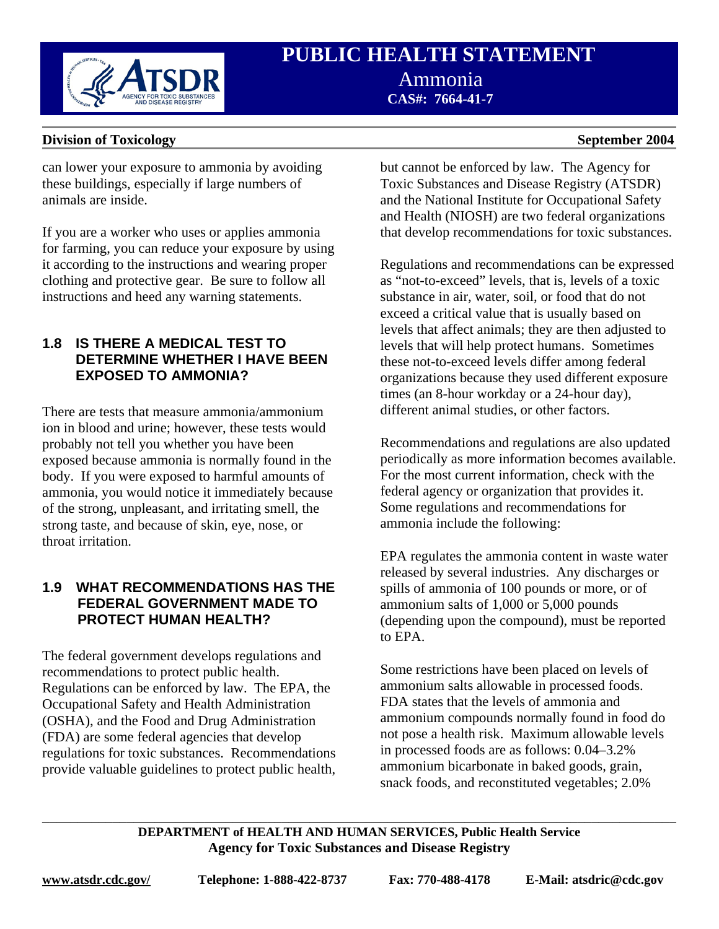

can lower your exposure to ammonia by avoiding these buildings, especially if large numbers of animals are inside.

If you are a worker who uses or applies ammonia for farming, you can reduce your exposure by using it according to the instructions and wearing proper clothing and protective gear. Be sure to follow all instructions and heed any warning statements.

# **1.8 IS THERE A MEDICAL TEST TO DETERMINE WHETHER I HAVE BEEN EXPOSED TO AMMONIA?**

There are tests that measure ammonia/ammonium ion in blood and urine; however, these tests would probably not tell you whether you have been exposed because ammonia is normally found in the body. If you were exposed to harmful amounts of ammonia, you would notice it immediately because of the strong, unpleasant, and irritating smell, the strong taste, and because of skin, eye, nose, or throat irritation.

# **1.9 WHAT RECOMMENDATIONS HAS THE FEDERAL GOVERNMENT MADE TO PROTECT HUMAN HEALTH?**

The federal government develops regulations and recommendations to protect public health. Regulations can be enforced by law. The EPA, the Occupational Safety and Health Administration (OSHA), and the Food and Drug Administration (FDA) are some federal agencies that develop regulations for toxic substances. Recommendations provide valuable guidelines to protect public health,

but cannot be enforced by law. The Agency for Toxic Substances and Disease Registry (ATSDR) and the National Institute for Occupational Safety and Health (NIOSH) are two federal organizations that develop recommendations for toxic substances.

Regulations and recommendations can be expressed as "not-to-exceed" levels, that is, levels of a toxic substance in air, water, soil, or food that do not exceed a critical value that is usually based on levels that affect animals; they are then adjusted to levels that will help protect humans. Sometimes these not-to-exceed levels differ among federal organizations because they used different exposure times (an 8-hour workday or a 24-hour day), different animal studies, or other factors.

Recommendations and regulations are also updated periodically as more information becomes available. For the most current information, check with the federal agency or organization that provides it. Some regulations and recommendations for ammonia include the following:

EPA regulates the ammonia content in waste water released by several industries. Any discharges or spills of ammonia of 100 pounds or more, or of ammonium salts of 1,000 or 5,000 pounds (depending upon the compound), must be reported to EPA.

Some restrictions have been placed on levels of ammonium salts allowable in processed foods. FDA states that the levels of ammonia and ammonium compounds normally found in food do not pose a health risk. Maximum allowable levels in processed foods are as follows: 0.04–3.2% ammonium bicarbonate in baked goods, grain, snack foods, and reconstituted vegetables; 2.0%

**DEPARTMENT of HEALTH AND HUMAN SERVICES, Public Health Service Agency for Toxic Substances and Disease Registry** 

\_\_\_\_\_\_\_\_\_\_\_\_\_\_\_\_\_\_\_\_\_\_\_\_\_\_\_\_\_\_\_\_\_\_\_\_\_\_\_\_\_\_\_\_\_\_\_\_\_\_\_\_\_\_\_\_\_\_\_\_\_\_\_\_\_\_\_\_\_\_\_\_\_\_\_\_\_\_\_\_\_\_\_\_\_\_\_\_\_\_

**www.atsdr.cdc.gov/ Telephone: 1-888-422-8737 Fax: 770-488-4178 E-Mail: atsdric@cdc.gov**